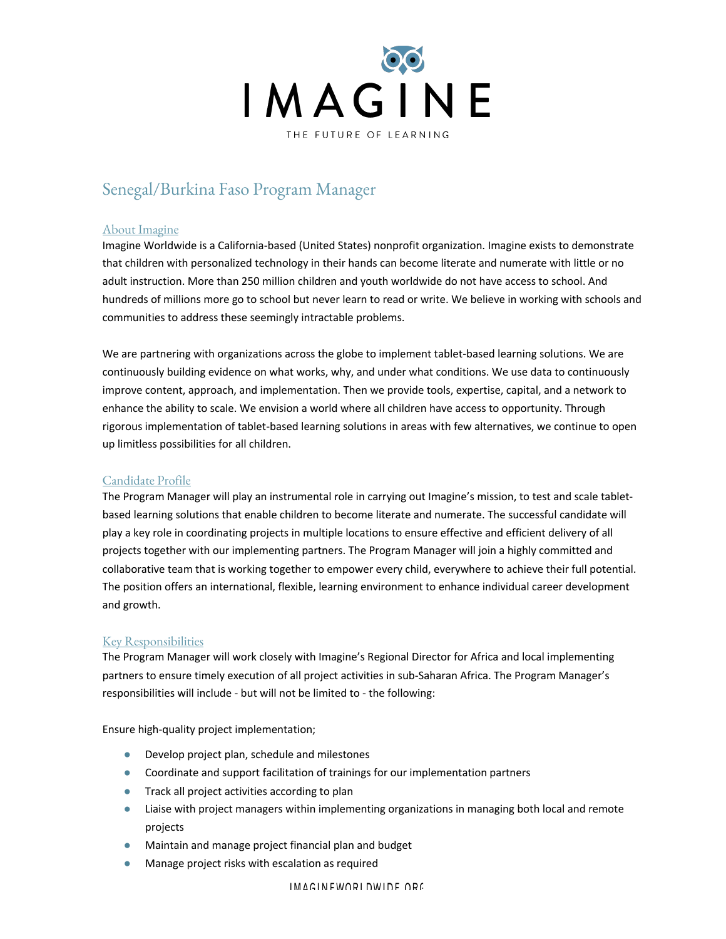

# Senegal/Burkina Faso Program Manager

#### About Imagine

Imagine Worldwide is a California-based (United States) nonprofit organization. Imagine exists to demonstrate that children with personalized technology in their hands can become literate and numerate with little or no adult instruction. More than 250 million children and youth worldwide do not have access to school. And hundreds of millions more go to school but never learn to read or write. We believe in working with schools and communities to address these seemingly intractable problems.

We are partnering with organizations across the globe to implement tablet-based learning solutions. We are continuously building evidence on what works, why, and under what conditions. We use data to continuously improve content, approach, and implementation. Then we provide tools, expertise, capital, and a network to enhance the ability to scale. We envision a world where all children have access to opportunity. Through rigorous implementation of tablet-based learning solutions in areas with few alternatives, we continue to open up limitless possibilities for all children.

# Candidate Profile

The Program Manager will play an instrumental role in carrying out Imagine's mission, to test and scale tabletbased learning solutions that enable children to become literate and numerate. The successful candidate will play a key role in coordinating projects in multiple locations to ensure effective and efficient delivery of all projects together with our implementing partners. The Program Manager will join a highly committed and collaborative team that is working together to empower every child, everywhere to achieve their full potential. The position offers an international, flexible, learning environment to enhance individual career development and growth.

# Key Responsibilities

The Program Manager will work closely with Imagine's Regional Director for Africa and local implementing partners to ensure timely execution of all project activities in sub-Saharan Africa. The Program Manager's responsibilities will include - but will not be limited to - the following:

Ensure high-quality project implementation;

- Develop project plan, schedule and milestones
- Coordinate and support facilitation of trainings for our implementation partners
- Track all project activities according to plan
- Liaise with project managers within implementing organizations in managing both local and remote projects
- Maintain and manage project financial plan and budget
- Manage project risks with escalation as required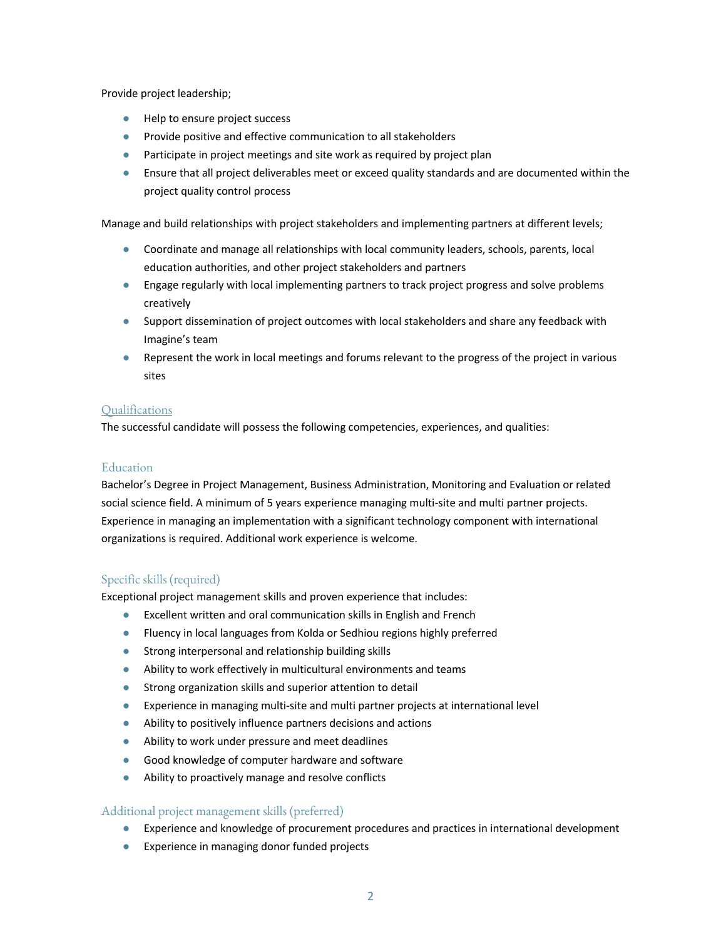Provide project leadership;

- Help to ensure project success
- Provide positive and effective communication to all stakeholders
- Participate in project meetings and site work as required by project plan
- Ensure that all project deliverables meet or exceed quality standards and are documented within the project quality control process

Manage and build relationships with project stakeholders and implementing partners at different levels;

- Coordinate and manage all relationships with local community leaders, schools, parents, local education authorities, and other project stakeholders and partners
- Engage regularly with local implementing partners to track project progress and solve problems creatively
- Support dissemination of project outcomes with local stakeholders and share any feedback with Imagine's team
- Represent the work in local meetings and forums relevant to the progress of the project in various sites

### **Qualifications**

The successful candidate will possess the following competencies, experiences, and qualities:

# Education

Bachelor's Degree in Project Management, Business Administration, Monitoring and Evaluation or related social science field. A minimum of 5 years experience managing multi-site and multi partner projects. Experience in managing an implementation with a significant technology component with international organizations is required. Additional work experience is welcome.

# Specific skills (required)

Exceptional project management skills and proven experience that includes:

- Excellent written and oral communication skills in English and French
- Fluency in local languages from Kolda or Sedhiou regions highly preferred
- Strong interpersonal and relationship building skills
- Ability to work effectively in multicultural environments and teams
- Strong organization skills and superior attention to detail
- Experience in managing multi-site and multi partner projects at international level
- Ability to positively influence partners decisions and actions
- Ability to work under pressure and meet deadlines
- Good knowledge of computer hardware and software
- Ability to proactively manage and resolve conflicts

# Additional project management skills (preferred)

- Experience and knowledge of procurement procedures and practices in international development
- Experience in managing donor funded projects